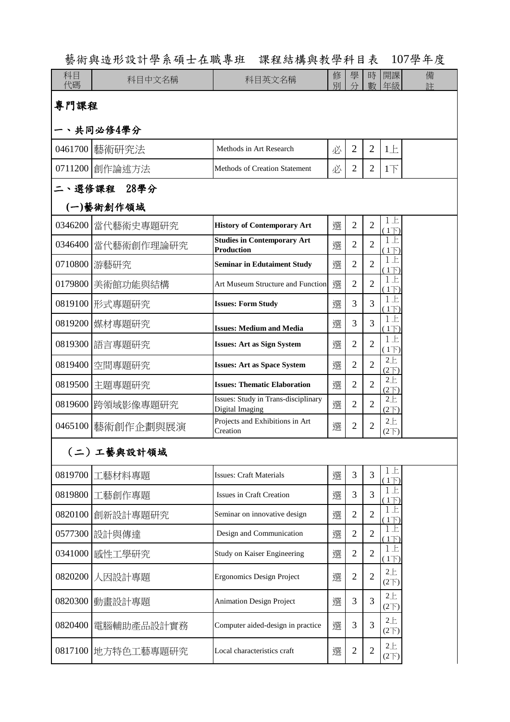| 藝術與造形設計學系碩士在職專班 課程結構與教學科目表 107學年度 |  |  |
|-----------------------------------|--|--|
|-----------------------------------|--|--|

| 科目<br>代碼    | 科目中文名稱             | 科目英文名稱                                                  | 修<br>別 | 學<br>分         | 時<br>數         | 開課<br>年級                              | 備<br>羊 |
|-------------|--------------------|---------------------------------------------------------|--------|----------------|----------------|---------------------------------------|--------|
| 專門課程        |                    |                                                         |        |                |                |                                       |        |
|             | 、共同必修4學分           |                                                         |        |                |                |                                       |        |
|             | 0461700 藝術研究法      | Methods in Art Research                                 | 必      | $\overline{2}$ | $\overline{2}$ | 1E                                    |        |
|             | 0711200 創作論述方法     | <b>Methods of Creation Statement</b>                    | 必      | $\overline{2}$ | $\overline{2}$ | $1\overline{1}$                       |        |
| 二、選修課程 28學分 |                    |                                                         |        |                |                |                                       |        |
|             | (一)藝術創作領域          |                                                         |        |                |                |                                       |        |
|             | 0346200 當代藝術史專題研究  | <b>History of Contemporary Art</b>                      | 選      | $\overline{2}$ | $\overline{2}$ | 上<br>$\mathbf{1}$<br>$(1\overline{)}$ |        |
|             | 0346400 當代藝術創作理論研究 | <b>Studies in Contemporary Art</b><br><b>Production</b> | 選      | $\overline{2}$ | $\overline{2}$ | 上<br>1<br>$(1\overline{)}$            |        |
|             | 0710800 游藝研究       | <b>Seminar in Edutaiment Study</b>                      | 選      | $\overline{2}$ | $\overline{2}$ | $1 \pm$<br>(1)                        |        |
|             | 0179800 美術館功能與結構   | Art Museum Structure and Function                       | 選      | $\overline{2}$ | $\overline{2}$ | $1+$<br>$(1\overline{)}$              |        |
|             | 0819100 形式專題研究     | <b>Issues: Form Study</b>                               | 選      | 3              | $\overline{3}$ | $1+$<br>$(1\overline{)}$              |        |
|             | 0819200 媒材專題研究     | <b>Issues: Medium and Media</b>                         | 選      | 3              | 3              | 上<br>1<br>(1)                         |        |
|             | 0819300 語言專題研究     | <b>Issues: Art as Sign System</b>                       | 選      | $\overline{2}$ | $\overline{2}$ | $1+$<br>$(1\overline{)}$              |        |
|             | 0819400 空間專題研究     | <b>Issues: Art as Space System</b>                      | 選      | $\overline{2}$ | $\overline{2}$ | 2E<br>$(2\nabla)$                     |        |
|             | 0819500 主題專題研究     | <b>Issues: Thematic Elaboration</b>                     | 選      | $\overline{2}$ | $\overline{2}$ | 2E<br>$(2\nabla)$                     |        |
| 0819600     | 跨領域影像專題研究          | Issues: Study in Trans-disciplinary<br>Digital Imaging  | 選      | $\overline{2}$ | $\overline{2}$ | 2E<br>$(2\overline{})$                |        |
|             | 0465100  藝術創作企劃與展演 | Projects and Exhibitions in Art<br>Creation             | 選      | $\overline{2}$ | $\overline{2}$ | 2E<br>(2 <sup>2</sup> )               |        |
|             | (二)工藝與設計領域         |                                                         |        |                |                |                                       |        |
| 0819700     | 工藝材料專題             | <b>Issues: Craft Materials</b>                          | 選      | 3              | 3              | F.<br>$(1\overline{)}$                |        |
| 0819800     | 工藝創作專題             | Issues in Craft Creation                                | 選      | 3              | 3              | $1+$<br>$(1\overline{)}$              |        |
| 0820100     | 創新設計專題研究           | Seminar on innovative design                            | 選      | $\overline{2}$ | $\overline{2}$ | E<br>1<br>$(1\overline{)}$            |        |
| 0577300     | 設計與傳達              | Design and Communication                                | 選      | $\overline{2}$ | $\overline{2}$ | F<br>T<br>$(1\overline{D})$           |        |
| 0341000     | 感性工學研究             | Study on Kaiser Engineering                             | 選      | $\overline{2}$ | $\overline{2}$ | $1+$<br>$(1\overline{)}$              |        |
| 0820200     | 人因設計專題             | Ergonomics Design Project                               | 選      | $\overline{2}$ | $\overline{2}$ | 2E<br>$(2\overline{})$                |        |
| 0820300     | 動畫設計專題             | <b>Animation Design Project</b>                         | 選      | 3              | 3              | $2+$<br>$(2\nabla)$                   |        |
| 0820400     | 電腦輔助產品設計實務         | Computer aided-design in practice                       | 選      | 3              | 3              | 2E<br>$(2\nabla)$                     |        |
|             | 0817100 地方特色工藝專題研究 | Local characteristics craft                             | 選      | $\mathbf{2}$   | $\mathbf{2}$   | 2E<br>$(2\nabla)$                     |        |